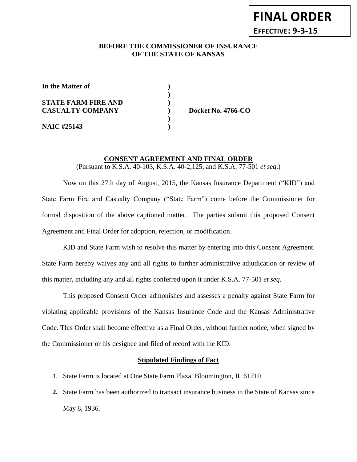## **BEFORE THE COMMISSIONER OF INSURANCE** *-12***OF THE STATE OF KANSAS**

**)**

**)**

**In the Matter of )**

**STATE FARM FIRE AND ) CASUALTY COMPANY ) Docket No. 4766-CO**

**NAIC #25143 )**

# **CONSENT AGREEMENT AND FINAL ORDER** (Pursuant to K.S.A. 40-103, K.S.A. 40-2,125, and K.S.A. 77-501 *et seq*.)

Now on this 27th day of August, 2015, the Kansas Insurance Department ("KID") and State Farm Fire and Casualty Company ("State Farm") come before the Commissioner for formal disposition of the above captioned matter. The parties submit this proposed Consent Agreement and Final Order for adoption, rejection, or modification.

KID and State Farm wish to resolve this matter by entering into this Consent Agreement. State Farm hereby waives any and all rights to further administrative adjudication or review of this matter, including any and all rights conferred upon it under K.S.A. 77-501 *et seq*.

This proposed Consent Order admonishes and assesses a penalty against State Farm for violating applicable provisions of the Kansas Insurance Code and the Kansas Administrative Code. This Order shall become effective as a Final Order, without further notice, when signed by the Commissioner or his designee and filed of record with the KID.

## **Stipulated Findings of Fact**

- 1. State Farm is located at One State Farm Plaza, Bloomington, IL 61710.
- **2.** State Farm has been authorized to transact insurance business in the State of Kansas since May 8, 1936.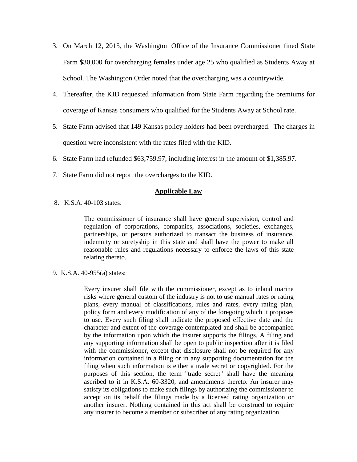- 3. On March 12, 2015, the Washington Office of the Insurance Commissioner fined State Farm \$30,000 for overcharging females under age 25 who qualified as Students Away at School. The Washington Order noted that the overcharging was a countrywide.
- 4. Thereafter, the KID requested information from State Farm regarding the premiums for coverage of Kansas consumers who qualified for the Students Away at School rate.
- 5. State Farm advised that 149 Kansas policy holders had been overcharged. The charges in question were inconsistent with the rates filed with the KID.
- 6. State Farm had refunded \$63,759.97, including interest in the amount of \$1,385.97.
- 7. State Farm did not report the overcharges to the KID.

### **Applicable Law**

8. K.S.A. 40-103 states:

The commissioner of insurance shall have general supervision, control and regulation of corporations, companies, associations, societies, exchanges, partnerships, or persons authorized to transact the business of insurance, indemnity or suretyship in this state and shall have the power to make all reasonable rules and regulations necessary to enforce the laws of this state relating thereto.

9. K.S.A. 40-955(a) states:

Every insurer shall file with the commissioner, except as to inland marine risks where general custom of the industry is not to use manual rates or rating plans, every manual of classifications, rules and rates, every rating plan, policy form and every modification of any of the foregoing which it proposes to use. Every such filing shall indicate the proposed effective date and the character and extent of the coverage contemplated and shall be accompanied by the information upon which the insurer supports the filings. A filing and any supporting information shall be open to public inspection after it is filed with the commissioner, except that disclosure shall not be required for any information contained in a filing or in any supporting documentation for the filing when such information is either a trade secret or copyrighted. For the purposes of this section, the term "trade secret" shall have the meaning ascribed to it in K.S.A. 60-3320, and amendments thereto. An insurer may satisfy its obligations to make such filings by authorizing the commissioner to accept on its behalf the filings made by a licensed rating organization or another insurer. Nothing contained in this act shall be construed to require any insurer to become a member or subscriber of any rating organization.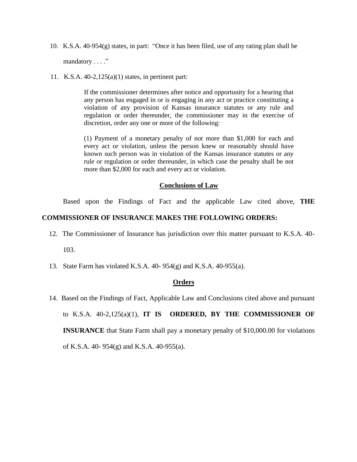10. K.S.A. 40-954(g) states, in part: "Once it has been filed, use of any rating plan shall be

mandatory . . . ."

11. K.S.A. 40-2,125(a)(1) states, in pertinent part:

If the commissioner determines after notice and opportunity for a hearing that any person has engaged in or is engaging in any act or practice constituting a violation of any provision of Kansas insurance statutes or any rule and regulation or order thereunder, the commissioner may in the exercise of discretion, order any one or more of the following:

(1) Payment of a monetary penalty of not more than \$1,000 for each and every act or violation, unless the person knew or reasonably should have known such person was in violation of the Kansas insurance statutes or any rule or regulation or order thereunder, in which case the penalty shall be not more than \$2,000 for each and every act or violation.

#### **Conclusions of Law**

Based upon the Findings of Fact and the applicable Law cited above, **THE** 

#### **COMMISSIONER OF INSURANCE MAKES THE FOLLOWING ORDERS:**

- 12. The Commissioner of Insurance has jurisdiction over this matter pursuant to K.S.A. 40- 103.
- 13. State Farm has violated K.S.A. 40- 954(g) and K.S.A. 40-955(a).

## **Orders**

 14. Based on the Findings of Fact, Applicable Law and Conclusions cited above and pursuant to K.S.A. 40-2,125(a)(1), **IT IS ORDERED, BY THE COMMISSIONER OF INSURANCE** that State Farm shall pay a monetary penalty of \$10,000.00 for violations of K.S.A. 40- 954(g) and K.S.A. 40-955(a).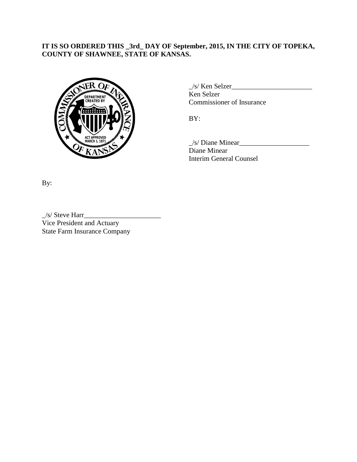# **IT IS SO ORDERED THIS \_3rd\_ DAY OF September, 2015, IN THE CITY OF TOPEKA, COUNTY OF SHAWNEE, STATE OF KANSAS.**



 $\angle$ s/ Ken Selzer $\frac{1}{\angle}$ Ken Selzer Commissioner of Insurance

BY:

 $\angle$ s/ Diane Minear $\angle$ Diane Minear Interim General Counsel

By:

 $\angle$ /s/ Steve Harr $\angle$ Vice President and Actuary State Farm Insurance Company